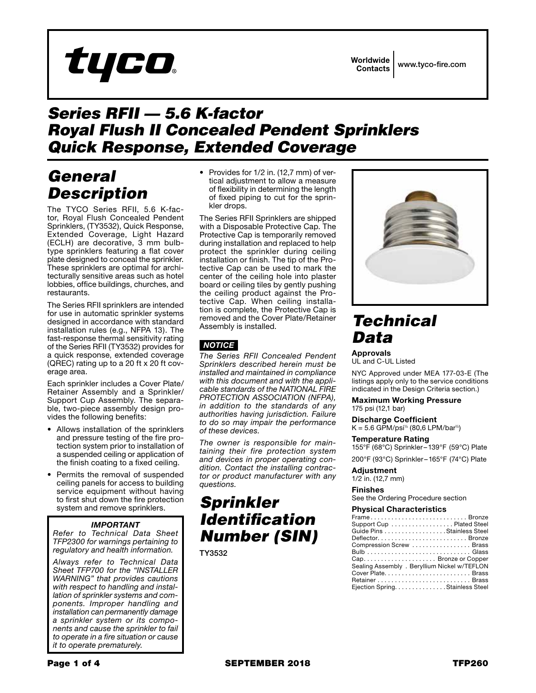# tyco

Worldwide Contacts www.tyco-fire.com

### *Series RFII — 5.6 K-factor Royal Flush II Concealed Pendent Sprinklers Quick Response, Extended Coverage*

## *General Description*

The TYCO Series RFII, 5.6 K-factor, Royal Flush Concealed Pendent Sprinklers, (TY3532), Quick Response, Extended Coverage, Light Hazard (ECLH) are decorative, 3 mm bulbtype sprinklers featuring a flat cover plate designed to conceal the sprinkler. These sprinklers are optimal for architecturally sensitive areas such as hotel lobbies, office buildings, churches, and restaurants.

The Series RFII sprinklers are intended for use in automatic sprinkler systems designed in accordance with standard installation rules (e.g., NFPA 13). The fast-response thermal sensitivity rating of the Series RFII (TY3532) provides for a quick response, extended coverage (QREC) rating up to a 20 ft x 20 ft coverage area.

Each sprinkler includes a Cover Plate/ Retainer Assembly and a Sprinkler/ Support Cup Assembly. The separable, two-piece assembly design provides the following benefits:

- Allows installation of the sprinklers and pressure testing of the fire protection system prior to installation of a suspended ceiling or application of the finish coating to a fixed ceiling.
- Permits the removal of suspended ceiling panels for access to building service equipment without having to first shut down the fire protection system and remove sprinklers.

### *IMPORTANT*

*Refer to Technical Data Sheet TFP2300 for warnings pertaining to regulatory and health information.*

*Always refer to Technical Data Sheet TFP700 for the "INSTALLER WARNING" that provides cautions with respect to handling and installation of sprinkler systems and components. Improper handling and installation can permanently damage a sprinkler system or its components and cause the sprinkler to fail to operate in a fire situation or cause it to operate prematurely.*

• Provides for 1/2 in. (12,7 mm) of vertical adjustment to allow a measure of flexibility in determining the length of fixed piping to cut for the sprinkler drops.

The Series RFII Sprinklers are shipped with a Disposable Protective Cap. The Protective Cap is temporarily removed during installation and replaced to help protect the sprinkler during ceiling installation or finish. The tip of the Protective Cap can be used to mark the center of the ceiling hole into plaster board or ceiling tiles by gently pushing the ceiling product against the Protective Cap. When ceiling installation is complete, the Protective Cap is removed and the Cover Plate/Retainer Assembly is installed.

### *NOTICE*

*The Series RFII Concealed Pendent Sprinklers described herein must be installed and maintained in compliance with this document and with the applicable standards of the NATIONAL FIRE PROTECTION ASSOCIATION (NFPA), in addition to the standards of any authorities having jurisdiction. Failure to do so may impair the performance of these devices.*

*The owner is responsible for maintaining their fire protection system and devices in proper operating condition. Contact the installing contractor or product manufacturer with any questions.*

# *Sprinkler Identification Number (SIN)*

TY3532



### *Technical Data*

Approvals

UL and C-UL Listed

NYC Approved under MEA 177-03-E (The listings apply only to the service conditions indicated in the Design Criteria section.)

Maximum Working Pressure 175 psi (12,1 bar)

### Discharge Coefficient

 $K = 5.6$  GPM/psi<sup>1/2</sup> (80,6 LPM/bar<sup>1/2</sup>)

#### Temperature Rating

155°F (68°C) Sprinkler –139°F (59°C) Plate

200°F (93°C) Sprinkler –165°F (74°C) Plate

#### Adjustment

1/2 in. (12,7 mm)

Finishes See the Ordering Procedure section

#### Physical Characteristics

| FrameBronze                                  |
|----------------------------------------------|
| Support Cup Plated Steel                     |
| Guide Pins Stainless Steel                   |
| DeflectorBronze                              |
| Compression Screw  Brass                     |
|                                              |
|                                              |
| Sealing Assembly . Beryllium Nickel w/TEFLON |
| Cover Plate Brass                            |
| Retainer Brass                               |
| Ejection Spring. Stainless Steel             |
|                                              |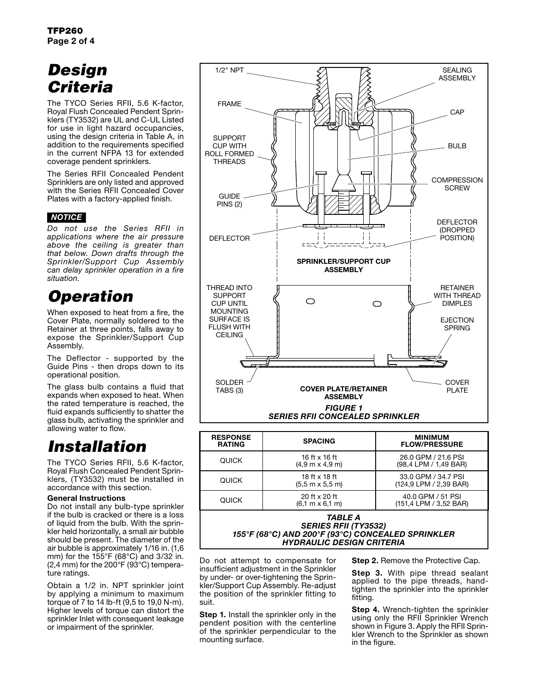# *Design Criteria*

The TYCO Series RFII, 5.6 K-factor, Royal Flush Concealed Pendent Sprinklers (TY3532) are UL and C-UL Listed for use in light hazard occupancies, using the design criteria in Table A, in addition to the requirements specified in the current NFPA 13 for extended coverage pendent sprinklers.

The Series RFII Concealed Pendent Sprinklers are only listed and approved with the Series RFII Concealed Cover Plates with a factory-applied finish.

### *NOTICE*

*Do not use the Series RFII in applications where the air pressure above the ceiling is greater than that below. Down drafts through the Sprinkler/Support Cup Assembly can delay sprinkler operation in a fire situation.*

# *Operation*

When exposed to heat from a fire, the Cover Plate, normally soldered to the Retainer at three points, falls away to expose the Sprinkler/Support Cup Assembly.

The Deflector - supported by the Guide Pins - then drops down to its operational position.

The glass bulb contains a fluid that expands when exposed to heat. When the rated temperature is reached, the fluid expands sufficiently to shatter the glass bulb, activating the sprinkler and allowing water to flow.

### *Installation*

The TYCO Series RFII, 5.6 K-factor, Royal Flush Concealed Pendent Sprinklers, (TY3532) must be installed in accordance with this section.

#### General Instructions

Do not install any bulb-type sprinkler if the bulb is cracked or there is a loss of liquid from the bulb. With the sprinkler held horizontally, a small air bubble should be present. The diameter of the air bubble is approximately 1/16 in. (1,6 mm) for the 155°F (68°C) and 3/32 in.  $(2,4 \text{ mm})$  for the 200 $\degree$ F (93 $\degree$ C) temperature ratings.

Obtain a 1/2 in. NPT sprinkler joint by applying a minimum to maximum torque of 7 to 14 lb-ft (9,5 to 19,0 N·m). Higher levels of torque can distort the sprinkler Inlet with consequent leakage or impairment of the sprinkler.



| <b>RESPONSE</b><br><b>RATING</b> | <b>SPACING</b>                                          | <b>MINIMUM</b><br><b>FLOW/PRESSURE</b>        |
|----------------------------------|---------------------------------------------------------|-----------------------------------------------|
| <b>QUICK</b>                     | 16 ft x 16 ft<br>$(4.9 \text{ m} \times 4.9 \text{ m})$ | 26.0 GPM / 21.6 PSI<br>(98,4 LPM / 1,49 BAR)  |
| <b>QUICK</b>                     | 18 ft x 18 ft<br>$(5.5 m \times 5.5 m)$                 | 33.0 GPM / 34.7 PSI<br>(124,9 LPM / 2,39 BAR) |
| <b>QUICK</b>                     | 20 ft x 20 ft<br>$(6.1 \text{ m} \times 6.1 \text{ m})$ | 40.0 GPM / 51 PSI<br>(151,4 LPM / 3,52 BAR)   |

#### *TABLE A SERIES RFII (TY3532) 155°F (68°C) AND 200°F (93°C) CONCEALED SPRINKLER HYDRAULIC DESIGN CRITERIA*

Do not attempt to compensate for insufficient adjustment in the Sprinkler by under- or over-tightening the Sprinkler/Support Cup Assembly. Re-adjust the position of the sprinkler fitting to suit.

Step 1. Install the sprinkler only in the pendent position with the centerline of the sprinkler perpendicular to the mounting surface.

**Step 2.** Remove the Protective Cap.

Step 3. With pipe thread sealant applied to the pipe threads, handtighten the sprinkler into the sprinkler fitting.

Step 4. Wrench-tighten the sprinkler using only the RFII Sprinkler Wrench shown in Figure 3. Apply the RFII Sprinkler Wrench to the Sprinkler as shown in the figure.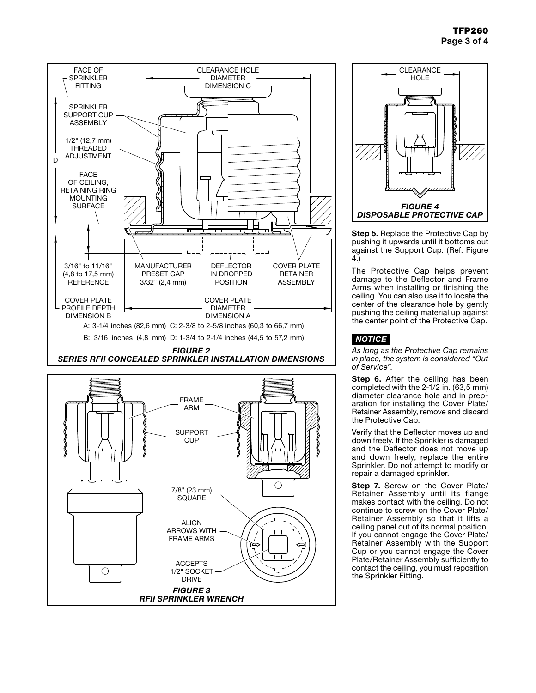





Step 5. Replace the Protective Cap by pushing it upwards until it bottoms out against the Support Cup. (Ref. Figure 4.)

The Protective Cap helps prevent damage to the Deflector and Frame Arms when installing or finishing the ceiling. You can also use it to locate the center of the clearance hole by gently pushing the ceiling material up against the center point of the Protective Cap.

### *NOTICE*

*As long as the Protective Cap remains in place, the system is considered "Out of Service".*

Step 6. After the ceiling has been completed with the 2-1/2 in. (63,5 mm) diameter clearance hole and in preparation for installing the Cover Plate/ Retainer Assembly, remove and discard the Protective Cap.

Verify that the Deflector moves up and down freely. If the Sprinkler is damaged and the Deflector does not move up and down freely, replace the entire Sprinkler. Do not attempt to modify or repair a damaged sprinkler.

Step 7. Screw on the Cover Plate/ Retainer Assembly until its flange makes contact with the ceiling. Do not continue to screw on the Cover Plate/ Retainer Assembly so that it lifts a ceiling panel out of its normal position. If you cannot engage the Cover Plate/ Retainer Assembly with the Support Cup or you cannot engage the Cover Plate/Retainer Assembly sufficiently to contact the ceiling, you must reposition the Sprinkler Fitting.